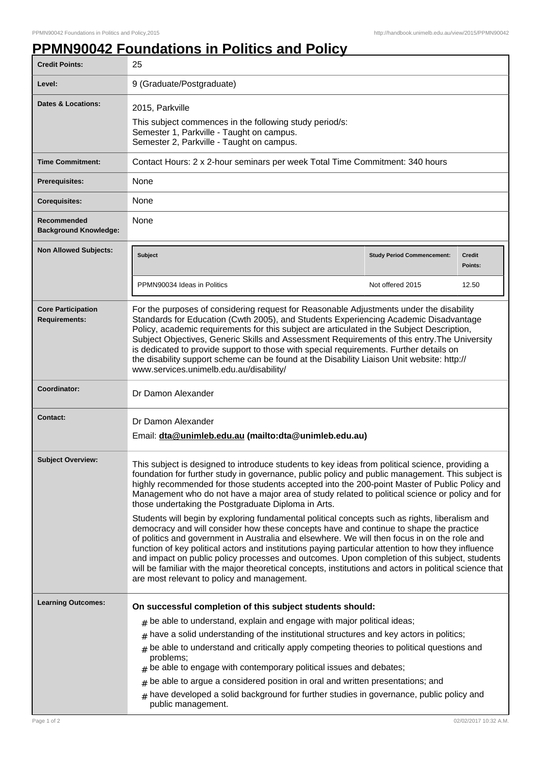## **PPMN90042 Foundations in Politics and Policy**

| <b>Credit Points:</b>                             | 25                                                                                                                                                                                                                                                                                                                                                                                                                                                                                                                                                                                                                                                         |                                   |                          |
|---------------------------------------------------|------------------------------------------------------------------------------------------------------------------------------------------------------------------------------------------------------------------------------------------------------------------------------------------------------------------------------------------------------------------------------------------------------------------------------------------------------------------------------------------------------------------------------------------------------------------------------------------------------------------------------------------------------------|-----------------------------------|--------------------------|
| Level:                                            | 9 (Graduate/Postgraduate)                                                                                                                                                                                                                                                                                                                                                                                                                                                                                                                                                                                                                                  |                                   |                          |
| Dates & Locations:                                | 2015, Parkville<br>This subject commences in the following study period/s:<br>Semester 1, Parkville - Taught on campus.<br>Semester 2, Parkville - Taught on campus.                                                                                                                                                                                                                                                                                                                                                                                                                                                                                       |                                   |                          |
| <b>Time Commitment:</b>                           | Contact Hours: 2 x 2-hour seminars per week Total Time Commitment: 340 hours                                                                                                                                                                                                                                                                                                                                                                                                                                                                                                                                                                               |                                   |                          |
| Prerequisites:                                    | None                                                                                                                                                                                                                                                                                                                                                                                                                                                                                                                                                                                                                                                       |                                   |                          |
| <b>Corequisites:</b>                              | None                                                                                                                                                                                                                                                                                                                                                                                                                                                                                                                                                                                                                                                       |                                   |                          |
| Recommended<br><b>Background Knowledge:</b>       | None                                                                                                                                                                                                                                                                                                                                                                                                                                                                                                                                                                                                                                                       |                                   |                          |
| <b>Non Allowed Subjects:</b>                      | <b>Subject</b>                                                                                                                                                                                                                                                                                                                                                                                                                                                                                                                                                                                                                                             | <b>Study Period Commencement:</b> | <b>Credit</b><br>Points: |
|                                                   | PPMN90034 Ideas in Politics                                                                                                                                                                                                                                                                                                                                                                                                                                                                                                                                                                                                                                | Not offered 2015                  | 12.50                    |
| <b>Core Participation</b><br><b>Requirements:</b> | For the purposes of considering request for Reasonable Adjustments under the disability<br>Standards for Education (Cwth 2005), and Students Experiencing Academic Disadvantage<br>Policy, academic requirements for this subject are articulated in the Subject Description,<br>Subject Objectives, Generic Skills and Assessment Requirements of this entry. The University<br>is dedicated to provide support to those with special requirements. Further details on<br>the disability support scheme can be found at the Disability Liaison Unit website: http://<br>www.services.unimelb.edu.au/disability/                                           |                                   |                          |
| Coordinator:                                      | Dr Damon Alexander                                                                                                                                                                                                                                                                                                                                                                                                                                                                                                                                                                                                                                         |                                   |                          |
| Contact:                                          | Dr Damon Alexander<br>Email: dta@unimleb.edu.au (mailto:dta@unimleb.edu.au)                                                                                                                                                                                                                                                                                                                                                                                                                                                                                                                                                                                |                                   |                          |
| <b>Subject Overview:</b>                          | This subject is designed to introduce students to key ideas from political science, providing a<br>foundation for further study in governance, public policy and public management. This subject is<br>highly recommended for those students accepted into the 200-point Master of Public Policy and<br>Management who do not have a major area of study related to political science or policy and for<br>those undertaking the Postgraduate Diploma in Arts.                                                                                                                                                                                             |                                   |                          |
|                                                   | Students will begin by exploring fundamental political concepts such as rights, liberalism and<br>democracy and will consider how these concepts have and continue to shape the practice<br>of politics and government in Australia and elsewhere. We will then focus in on the role and<br>function of key political actors and institutions paying particular attention to how they influence<br>and impact on public policy processes and outcomes. Upon completion of this subject, students<br>will be familiar with the major theoretical concepts, institutions and actors in political science that<br>are most relevant to policy and management. |                                   |                          |
| <b>Learning Outcomes:</b>                         | On successful completion of this subject students should:                                                                                                                                                                                                                                                                                                                                                                                                                                                                                                                                                                                                  |                                   |                          |
|                                                   | $#$ be able to understand, explain and engage with major political ideas;                                                                                                                                                                                                                                                                                                                                                                                                                                                                                                                                                                                  |                                   |                          |
|                                                   | have a solid understanding of the institutional structures and key actors in politics;<br>#                                                                                                                                                                                                                                                                                                                                                                                                                                                                                                                                                                |                                   |                          |
|                                                   | be able to understand and critically apply competing theories to political questions and<br>$\pm$                                                                                                                                                                                                                                                                                                                                                                                                                                                                                                                                                          |                                   |                          |
|                                                   | problems;<br>$#$ be able to engage with contemporary political issues and debates;                                                                                                                                                                                                                                                                                                                                                                                                                                                                                                                                                                         |                                   |                          |
|                                                   | be able to argue a considered position in oral and written presentations; and<br>$\#$                                                                                                                                                                                                                                                                                                                                                                                                                                                                                                                                                                      |                                   |                          |
|                                                   | have developed a solid background for further studies in governance, public policy and<br>#<br>public management.                                                                                                                                                                                                                                                                                                                                                                                                                                                                                                                                          |                                   |                          |